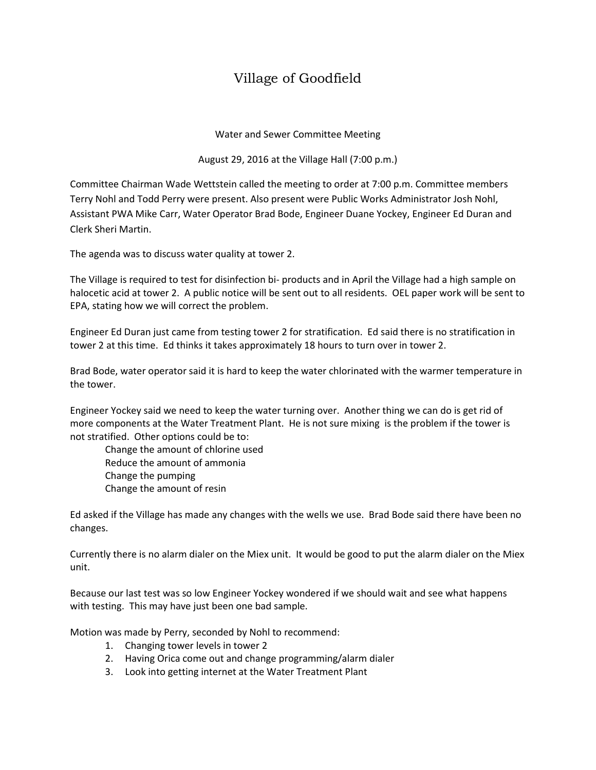## Village of Goodfield

Water and Sewer Committee Meeting

August 29, 2016 at the Village Hall (7:00 p.m.)

Committee Chairman Wade Wettstein called the meeting to order at 7:00 p.m. Committee members Terry Nohl and Todd Perry were present. Also present were Public Works Administrator Josh Nohl, Assistant PWA Mike Carr, Water Operator Brad Bode, Engineer Duane Yockey, Engineer Ed Duran and Clerk Sheri Martin.

The agenda was to discuss water quality at tower 2.

The Village is required to test for disinfection bi- products and in April the Village had a high sample on halocetic acid at tower 2. A public notice will be sent out to all residents. OEL paper work will be sent to EPA, stating how we will correct the problem.

Engineer Ed Duran just came from testing tower 2 for stratification. Ed said there is no stratification in tower 2 at this time. Ed thinks it takes approximately 18 hours to turn over in tower 2.

Brad Bode, water operator said it is hard to keep the water chlorinated with the warmer temperature in the tower.

Engineer Yockey said we need to keep the water turning over. Another thing we can do is get rid of more components at the Water Treatment Plant. He is not sure mixing is the problem if the tower is not stratified. Other options could be to:

Change the amount of chlorine used Reduce the amount of ammonia Change the pumping Change the amount of resin

Ed asked if the Village has made any changes with the wells we use. Brad Bode said there have been no changes.

Currently there is no alarm dialer on the Miex unit. It would be good to put the alarm dialer on the Miex unit.

Because our last test was so low Engineer Yockey wondered if we should wait and see what happens with testing. This may have just been one bad sample.

Motion was made by Perry, seconded by Nohl to recommend:

- 1. Changing tower levels in tower 2
- 2. Having Orica come out and change programming/alarm dialer
- 3. Look into getting internet at the Water Treatment Plant